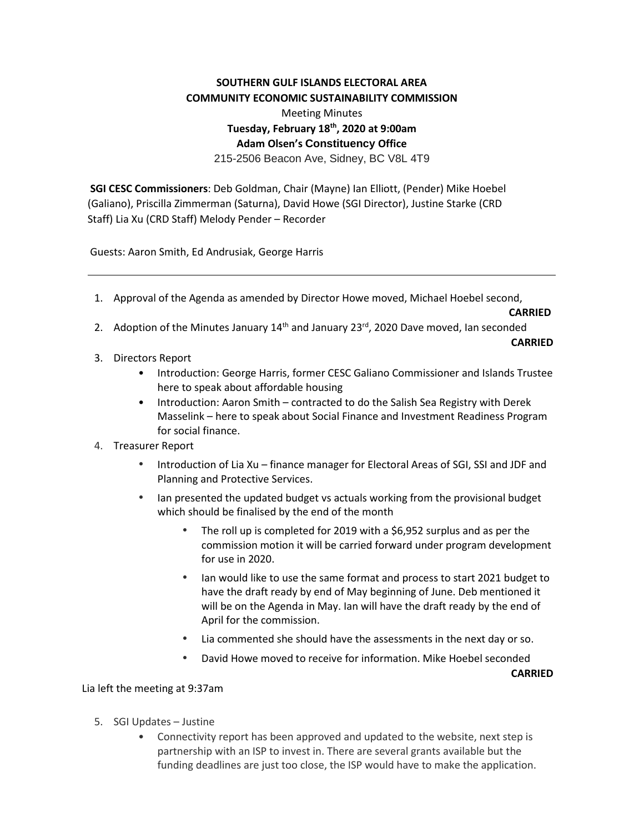## **SOUTHERN GULF ISLANDS ELECTORAL AREA COMMUNITY ECONOMIC SUSTAINABILITY COMMISSION**

## Meeting Minutes **Tuesday, February 18th, 2020 at 9:00am Adam Olsen's Constituency Office**

215-2506 Beacon Ave, Sidney, BC V8L 4T9

**SGI CESC Commissioners**: Deb Goldman, Chair (Mayne) Ian Elliott, (Pender) Mike Hoebel (Galiano), Priscilla Zimmerman (Saturna), David Howe (SGI Director), Justine Starke (CRD Staff) Lia Xu (CRD Staff) Melody Pender – Recorder

Guests: Aaron Smith, Ed Andrusiak, George Harris

1. Approval of the Agenda as amended by Director Howe moved, Michael Hoebel second,

**CARRIED**

2. Adoption of the Minutes January  $14<sup>th</sup>$  and January 23 $<sup>rd</sup>$ , 2020 Dave moved, Ian seconded</sup>

**CARRIED**

- 3. Directors Report
	- Introduction: George Harris, former CESC Galiano Commissioner and Islands Trustee here to speak about affordable housing
	- Introduction: Aaron Smith contracted to do the Salish Sea Registry with Derek Masselink – here to speak about Social Finance and Investment Readiness Program for social finance.
- 4. Treasurer Report
	- Introduction of Lia Xu finance manager for Electoral Areas of SGI, SSI and JDF and Planning and Protective Services.
	- Ian presented the updated budget vs actuals working from the provisional budget which should be finalised by the end of the month
		- The roll up is completed for 2019 with a \$6,952 surplus and as per the commission motion it will be carried forward under program development for use in 2020.
		- Ian would like to use the same format and process to start 2021 budget to have the draft ready by end of May beginning of June. Deb mentioned it will be on the Agenda in May. Ian will have the draft ready by the end of April for the commission.
		- Lia commented she should have the assessments in the next day or so.
		- David Howe moved to receive for information. Mike Hoebel seconded

**CARRIED**

## Lia left the meeting at 9:37am

- 5. SGI Updates Justine
	- Connectivity report has been approved and updated to the website, next step is partnership with an ISP to invest in. There are several grants available but the funding deadlines are just too close, the ISP would have to make the application.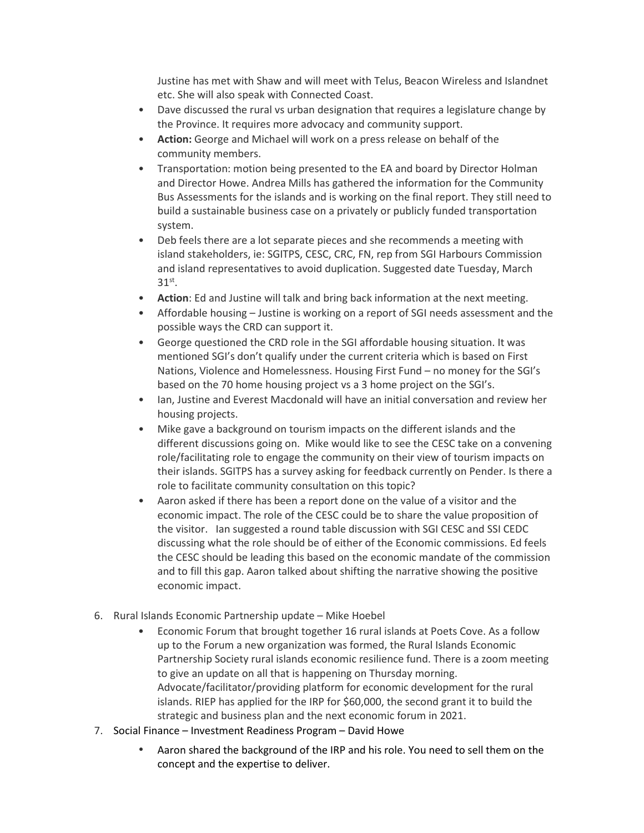Justine has met with Shaw and will meet with Telus, Beacon Wireless and Islandnet etc. She will also speak with Connected Coast.

- Dave discussed the rural vs urban designation that requires a legislature change by the Province. It requires more advocacy and community support.
- **Action:** George and Michael will work on a press release on behalf of the community members.
- Transportation: motion being presented to the EA and board by Director Holman and Director Howe. Andrea Mills has gathered the information for the Community Bus Assessments for the islands and is working on the final report. They still need to build a sustainable business case on a privately or publicly funded transportation system.
- Deb feels there are a lot separate pieces and she recommends a meeting with island stakeholders, ie: SGITPS, CESC, CRC, FN, rep from SGI Harbours Commission and island representatives to avoid duplication. Suggested date Tuesday, March 31st.
- **Action**: Ed and Justine will talk and bring back information at the next meeting.
- Affordable housing Justine is working on a report of SGI needs assessment and the possible ways the CRD can support it.
- George questioned the CRD role in the SGI affordable housing situation. It was mentioned SGI's don't qualify under the current criteria which is based on First Nations, Violence and Homelessness. Housing First Fund – no money for the SGI's based on the 70 home housing project vs a 3 home project on the SGI's.
- Ian, Justine and Everest Macdonald will have an initial conversation and review her housing projects.
- Mike gave a background on tourism impacts on the different islands and the different discussions going on. Mike would like to see the CESC take on a convening role/facilitating role to engage the community on their view of tourism impacts on their islands. SGITPS has a survey asking for feedback currently on Pender. Is there a role to facilitate community consultation on this topic?
- Aaron asked if there has been a report done on the value of a visitor and the economic impact. The role of the CESC could be to share the value proposition of the visitor. Ian suggested a round table discussion with SGI CESC and SSI CEDC discussing what the role should be of either of the Economic commissions. Ed feels the CESC should be leading this based on the economic mandate of the commission and to fill this gap. Aaron talked about shifting the narrative showing the positive economic impact.
- 6. Rural Islands Economic Partnership update Mike Hoebel
	- Economic Forum that brought together 16 rural islands at Poets Cove. As a follow up to the Forum a new organization was formed, the Rural Islands Economic Partnership Society rural islands economic resilience fund. There is a zoom meeting to give an update on all that is happening on Thursday morning. Advocate/facilitator/providing platform for economic development for the rural islands. RIEP has applied for the IRP for \$60,000, the second grant it to build the strategic and business plan and the next economic forum in 2021.
- 7. Social Finance Investment Readiness Program David Howe
	- Aaron shared the background of the IRP and his role. You need to sell them on the concept and the expertise to deliver.